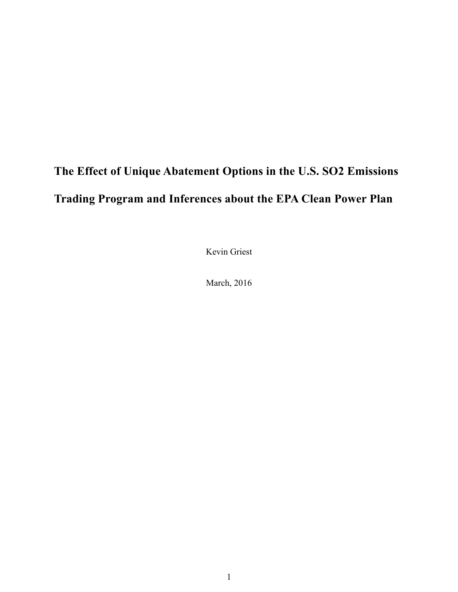# **The Effect of Unique Abatement Options in the U.S. SO2 Emissions Trading Program and Inferences about the EPA Clean Power Plan**

Kevin Griest

March, 2016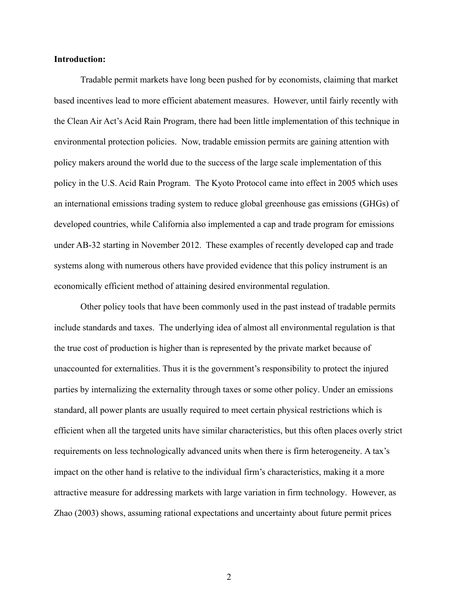## **Introduction:**

Tradable permit markets have long been pushed for by economists, claiming that market based incentives lead to more efficient abatement measures. However, until fairly recently with the Clean Air Act's Acid Rain Program, there had been little implementation of this technique in environmental protection policies. Now, tradable emission permits are gaining attention with policy makers around the world due to the success of the large scale implementation of this policy in the U.S. Acid Rain Program. The Kyoto Protocol came into effect in 2005 which uses an international emissions trading system to reduce global greenhouse gas emissions (GHGs) of developed countries, while California also implemented a cap and trade program for emissions under AB-32 starting in November 2012. These examples of recently developed cap and trade systems along with numerous others have provided evidence that this policy instrument is an economically efficient method of attaining desired environmental regulation.

Other policy tools that have been commonly used in the past instead of tradable permits include standards and taxes. The underlying idea of almost all environmental regulation is that the true cost of production is higher than is represented by the private market because of unaccounted for externalities. Thus it is the government's responsibility to protect the injured parties by internalizing the externality through taxes or some other policy. Under an emissions standard, all power plants are usually required to meet certain physical restrictions which is efficient when all the targeted units have similar characteristics, but this often places overly strict requirements on less technologically advanced units when there is firm heterogeneity. A tax's impact on the other hand is relative to the individual firm's characteristics, making it a more attractive measure for addressing markets with large variation in firm technology. However, as Zhao (2003) shows, assuming rational expectations and uncertainty about future permit prices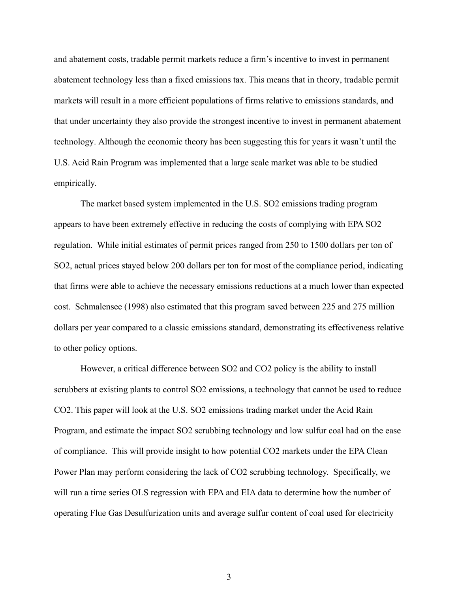and abatement costs, tradable permit markets reduce a firm's incentive to invest in permanent abatement technology less than a fixed emissions tax. This means that in theory, tradable permit markets will result in a more efficient populations of firms relative to emissions standards, and that under uncertainty they also provide the strongest incentive to invest in permanent abatement technology. Although the economic theory has been suggesting this for years it wasn't until the U.S. Acid Rain Program was implemented that a large scale market was able to be studied empirically.

The market based system implemented in the U.S. SO2 emissions trading program appears to have been extremely effective in reducing the costs of complying with EPA SO2 regulation. While initial estimates of permit prices ranged from 250 to 1500 dollars per ton of SO2, actual prices stayed below 200 dollars per ton for most of the compliance period, indicating that firms were able to achieve the necessary emissions reductions at a much lower than expected cost. Schmalensee (1998) also estimated that this program saved between 225 and 275 million dollars per year compared to a classic emissions standard, demonstrating its effectiveness relative to other policy options.

However, a critical difference between SO2 and CO2 policy is the ability to install scrubbers at existing plants to control SO2 emissions, a technology that cannot be used to reduce CO2. This paper will look at the U.S. SO2 emissions trading market under the Acid Rain Program, and estimate the impact SO2 scrubbing technology and low sulfur coal had on the ease of compliance. This will provide insight to how potential CO2 markets under the EPA Clean Power Plan may perform considering the lack of CO2 scrubbing technology. Specifically, we will run a time series OLS regression with EPA and EIA data to determine how the number of operating Flue Gas Desulfurization units and average sulfur content of coal used for electricity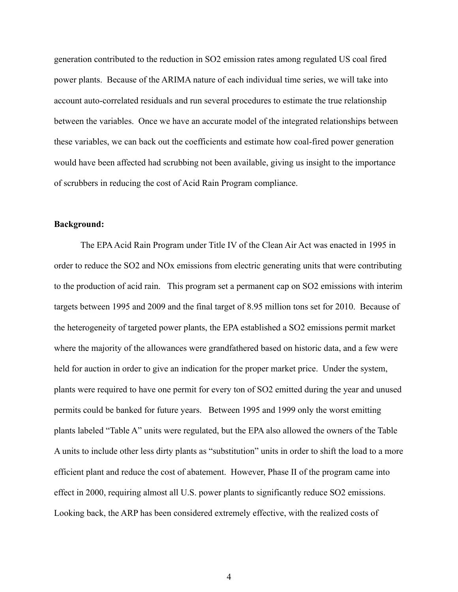generation contributed to the reduction in SO2 emission rates among regulated US coal fired power plants. Because of the ARIMA nature of each individual time series, we will take into account auto-correlated residuals and run several procedures to estimate the true relationship between the variables. Once we have an accurate model of the integrated relationships between these variables, we can back out the coefficients and estimate how coal-fired power generation would have been affected had scrubbing not been available, giving us insight to the importance of scrubbers in reducing the cost of Acid Rain Program compliance.

# **Background:**

The EPA Acid Rain Program under Title IV of the Clean Air Act was enacted in 1995 in order to reduce the SO2 and NOx emissions from electric generating units that were contributing to the production of acid rain. This program set a permanent cap on SO2 emissions with interim targets between 1995 and 2009 and the final target of 8.95 million tons set for 2010. Because of the heterogeneity of targeted power plants, the EPA established a SO2 emissions permit market where the majority of the allowances were grandfathered based on historic data, and a few were held for auction in order to give an indication for the proper market price. Under the system, plants were required to have one permit for every ton of SO2 emitted during the year and unused permits could be banked for future years. Between 1995 and 1999 only the worst emitting plants labeled "Table A" units were regulated, but the EPA also allowed the owners of the Table A units to include other less dirty plants as "substitution" units in order to shift the load to a more efficient plant and reduce the cost of abatement. However, Phase II of the program came into effect in 2000, requiring almost all U.S. power plants to significantly reduce SO2 emissions. Looking back, the ARP has been considered extremely effective, with the realized costs of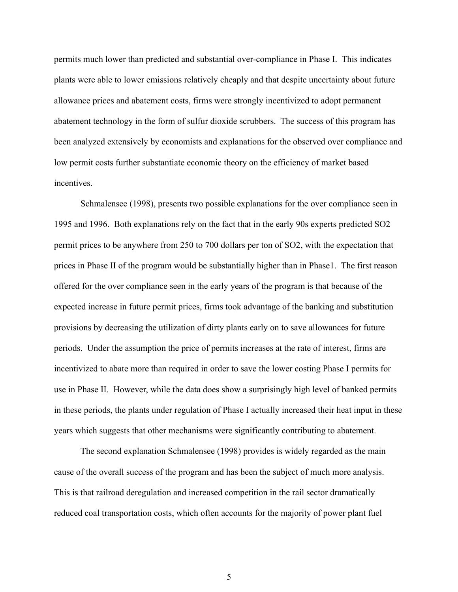permits much lower than predicted and substantial over-compliance in Phase I. This indicates plants were able to lower emissions relatively cheaply and that despite uncertainty about future allowance prices and abatement costs, firms were strongly incentivized to adopt permanent abatement technology in the form of sulfur dioxide scrubbers. The success of this program has been analyzed extensively by economists and explanations for the observed over compliance and low permit costs further substantiate economic theory on the efficiency of market based incentives.

Schmalensee (1998), presents two possible explanations for the over compliance seen in 1995 and 1996. Both explanations rely on the fact that in the early 90s experts predicted SO2 permit prices to be anywhere from 250 to 700 dollars per ton of SO2, with the expectation that prices in Phase II of the program would be substantially higher than in Phase1. The first reason offered for the over compliance seen in the early years of the program is that because of the expected increase in future permit prices, firms took advantage of the banking and substitution provisions by decreasing the utilization of dirty plants early on to save allowances for future periods. Under the assumption the price of permits increases at the rate of interest, firms are incentivized to abate more than required in order to save the lower costing Phase I permits for use in Phase II. However, while the data does show a surprisingly high level of banked permits in these periods, the plants under regulation of Phase I actually increased their heat input in these years which suggests that other mechanisms were significantly contributing to abatement.

The second explanation Schmalensee (1998) provides is widely regarded as the main cause of the overall success of the program and has been the subject of much more analysis. This is that railroad deregulation and increased competition in the rail sector dramatically reduced coal transportation costs, which often accounts for the majority of power plant fuel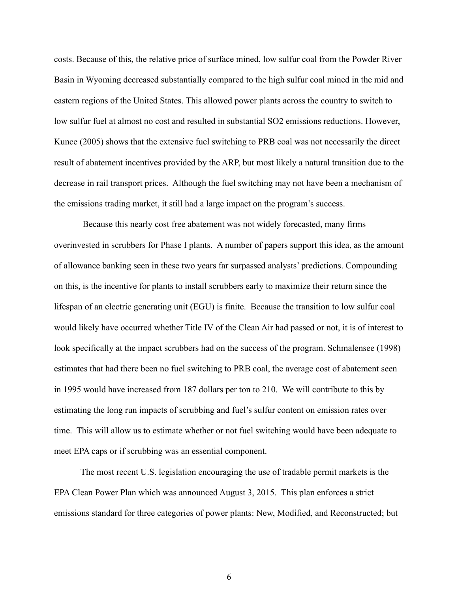costs. Because of this, the relative price of surface mined, low sulfur coal from the Powder River Basin in Wyoming decreased substantially compared to the high sulfur coal mined in the mid and eastern regions of the United States. This allowed power plants across the country to switch to low sulfur fuel at almost no cost and resulted in substantial SO2 emissions reductions. However, Kunce (2005) shows that the extensive fuel switching to PRB coal was not necessarily the direct result of abatement incentives provided by the ARP, but most likely a natural transition due to the decrease in rail transport prices. Although the fuel switching may not have been a mechanism of the emissions trading market, it still had a large impact on the program's success.

Because this nearly cost free abatement was not widely forecasted, many firms overinvested in scrubbers for Phase I plants. A number of papers support this idea, as the amount of allowance banking seen in these two years far surpassed analysts' predictions. Compounding on this, is the incentive for plants to install scrubbers early to maximize their return since the lifespan of an electric generating unit (EGU) is finite. Because the transition to low sulfur coal would likely have occurred whether Title IV of the Clean Air had passed or not, it is of interest to look specifically at the impact scrubbers had on the success of the program. Schmalensee (1998) estimates that had there been no fuel switching to PRB coal, the average cost of abatement seen in 1995 would have increased from 187 dollars per ton to 210. We will contribute to this by estimating the long run impacts of scrubbing and fuel's sulfur content on emission rates over time. This will allow us to estimate whether or not fuel switching would have been adequate to meet EPA caps or if scrubbing was an essential component.

The most recent U.S. legislation encouraging the use of tradable permit markets is the EPA Clean Power Plan which was announced August 3, 2015. This plan enforces a strict emissions standard for three categories of power plants: New, Modified, and Reconstructed; but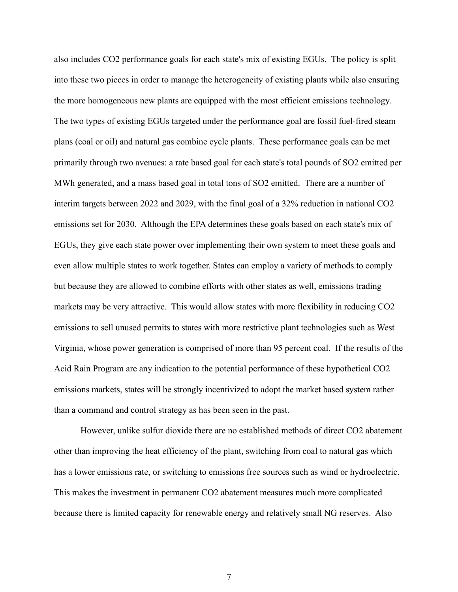also includes CO2 performance goals for each state's mix of existing EGUs. The policy is split into these two pieces in order to manage the heterogeneity of existing plants while also ensuring the more homogeneous new plants are equipped with the most efficient emissions technology. The two types of existing EGUs targeted under the performance goal are fossil fuel-fired steam plans (coal or oil) and natural gas combine cycle plants. These performance goals can be met primarily through two avenues: a rate based goal for each state's total pounds of SO2 emitted per MWh generated, and a mass based goal in total tons of SO2 emitted. There are a number of interim targets between 2022 and 2029, with the final goal of a 32% reduction in national CO2 emissions set for 2030. Although the EPA determines these goals based on each state's mix of EGUs, they give each state power over implementing their own system to meet these goals and even allow multiple states to work together. States can employ a variety of methods to comply but because they are allowed to combine efforts with other states as well, emissions trading markets may be very attractive. This would allow states with more flexibility in reducing CO2 emissions to sell unused permits to states with more restrictive plant technologies such as West Virginia, whose power generation is comprised of more than 95 percent coal. If the results of the Acid Rain Program are any indication to the potential performance of these hypothetical CO2 emissions markets, states will be strongly incentivized to adopt the market based system rather than a command and control strategy as has been seen in the past.

However, unlike sulfur dioxide there are no established methods of direct CO2 abatement other than improving the heat efficiency of the plant, switching from coal to natural gas which has a lower emissions rate, or switching to emissions free sources such as wind or hydroelectric. This makes the investment in permanent CO2 abatement measures much more complicated because there is limited capacity for renewable energy and relatively small NG reserves. Also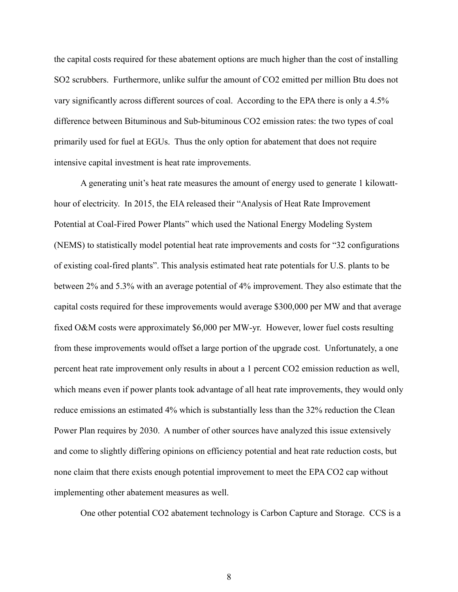the capital costs required for these abatement options are much higher than the cost of installing SO2 scrubbers. Furthermore, unlike sulfur the amount of CO2 emitted per million Btu does not vary significantly across different sources of coal. According to the EPA there is only a 4.5% difference between Bituminous and Sub-bituminous CO2 emission rates: the two types of coal primarily used for fuel at EGUs. Thus the only option for abatement that does not require intensive capital investment is heat rate improvements.

A generating unit's heat rate measures the amount of energy used to generate 1 kilowatthour of electricity. In 2015, the EIA released their "Analysis of Heat Rate Improvement Potential at Coal-Fired Power Plants" which used the National Energy Modeling System (NEMS) to statistically model potential heat rate improvements and costs for "32 configurations of existing coal-fired plants". This analysis estimated heat rate potentials for U.S. plants to be between 2% and 5.3% with an average potential of 4% improvement. They also estimate that the capital costs required for these improvements would average \$300,000 per MW and that average fixed O&M costs were approximately \$6,000 per MW-yr. However, lower fuel costs resulting from these improvements would offset a large portion of the upgrade cost. Unfortunately, a one percent heat rate improvement only results in about a 1 percent CO2 emission reduction as well, which means even if power plants took advantage of all heat rate improvements, they would only reduce emissions an estimated 4% which is substantially less than the 32% reduction the Clean Power Plan requires by 2030. A number of other sources have analyzed this issue extensively and come to slightly differing opinions on efficiency potential and heat rate reduction costs, but none claim that there exists enough potential improvement to meet the EPA CO2 cap without implementing other abatement measures as well.

One other potential CO2 abatement technology is Carbon Capture and Storage. CCS is a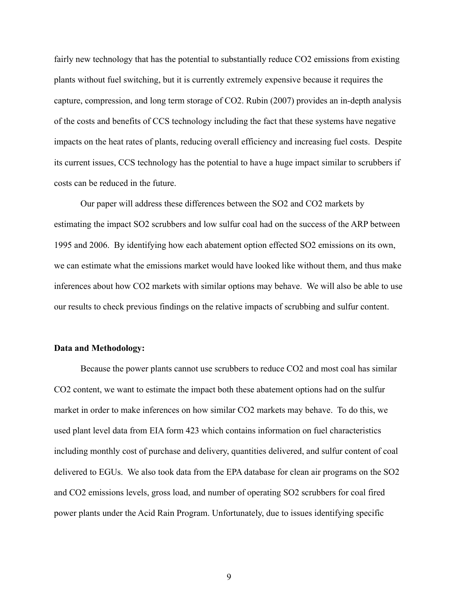fairly new technology that has the potential to substantially reduce CO2 emissions from existing plants without fuel switching, but it is currently extremely expensive because it requires the capture, compression, and long term storage of CO2. Rubin (2007) provides an in-depth analysis of the costs and benefits of CCS technology including the fact that these systems have negative impacts on the heat rates of plants, reducing overall efficiency and increasing fuel costs. Despite its current issues, CCS technology has the potential to have a huge impact similar to scrubbers if costs can be reduced in the future.

Our paper will address these differences between the SO2 and CO2 markets by estimating the impact SO2 scrubbers and low sulfur coal had on the success of the ARP between 1995 and 2006. By identifying how each abatement option effected SO2 emissions on its own, we can estimate what the emissions market would have looked like without them, and thus make inferences about how CO2 markets with similar options may behave. We will also be able to use our results to check previous findings on the relative impacts of scrubbing and sulfur content.

#### **Data and Methodology:**

Because the power plants cannot use scrubbers to reduce CO2 and most coal has similar CO2 content, we want to estimate the impact both these abatement options had on the sulfur market in order to make inferences on how similar CO2 markets may behave. To do this, we used plant level data from EIA form 423 which contains information on fuel characteristics including monthly cost of purchase and delivery, quantities delivered, and sulfur content of coal delivered to EGUs. We also took data from the EPA database for clean air programs on the SO2 and CO2 emissions levels, gross load, and number of operating SO2 scrubbers for coal fired power plants under the Acid Rain Program. Unfortunately, due to issues identifying specific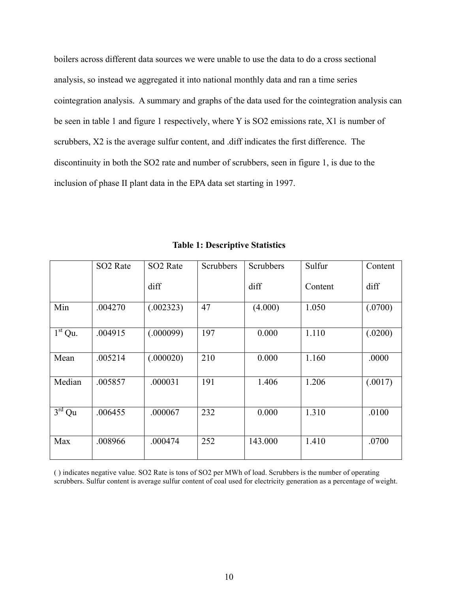boilers across different data sources we were unable to use the data to do a cross sectional analysis, so instead we aggregated it into national monthly data and ran a time series cointegration analysis. A summary and graphs of the data used for the cointegration analysis can be seen in table 1 and figure 1 respectively, where Y is SO2 emissions rate, X1 is number of scrubbers, X2 is the average sulfur content, and .diff indicates the first difference. The discontinuity in both the SO2 rate and number of scrubbers, seen in figure 1, is due to the inclusion of phase II plant data in the EPA data set starting in 1997.

|                            | SO <sub>2</sub> Rate | SO <sub>2</sub> Rate | <b>Scrubbers</b> | Scrubbers | Sulfur  | Content |
|----------------------------|----------------------|----------------------|------------------|-----------|---------|---------|
|                            |                      | diff                 |                  | diff      | Content | diff    |
| Min                        | .004270              | (.002323)            | 47               | (4.000)   | 1.050   | (.0700) |
| $1st$ Qu.                  | .004915              | (.000099)            | 197              | 0.000     | 1.110   | (.0200) |
| Mean                       | .005214              | (.000020)            | 210              | 0.000     | 1.160   | .0000   |
| Median                     | .005857              | .000031              | 191              | 1.406     | 1.206   | (.0017) |
| $\overline{3}^{\rm rd}$ Qu | .006455              | .000067              | 232              | 0.000     | 1.310   | .0100   |
| Max                        | .008966              | .000474              | 252              | 143.000   | 1.410   | .0700   |

**Table 1: Descriptive Statistics**

( ) indicates negative value. SO2 Rate is tons of SO2 per MWh of load. Scrubbers is the number of operating scrubbers. Sulfur content is average sulfur content of coal used for electricity generation as a percentage of weight.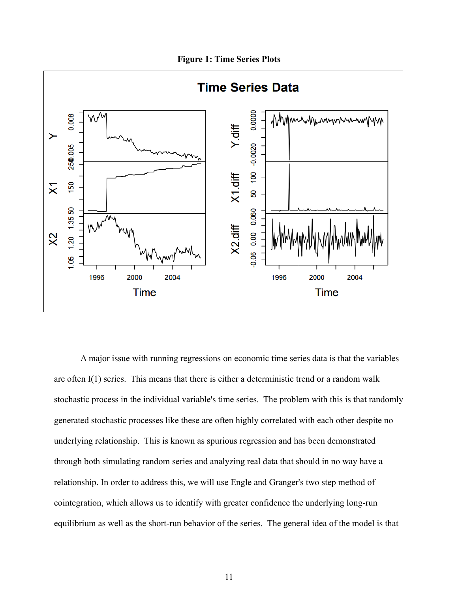**Figure 1: Time Series Plots**



A major issue with running regressions on economic time series data is that the variables are often I(1) series. This means that there is either a deterministic trend or a random walk stochastic process in the individual variable's time series. The problem with this is that randomly generated stochastic processes like these are often highly correlated with each other despite no underlying relationship. This is known as spurious regression and has been demonstrated through both simulating random series and analyzing real data that should in no way have a relationship. In order to address this, we will use Engle and Granger's two step method of cointegration, which allows us to identify with greater confidence the underlying long-run equilibrium as well as the short-run behavior of the series. The general idea of the model is that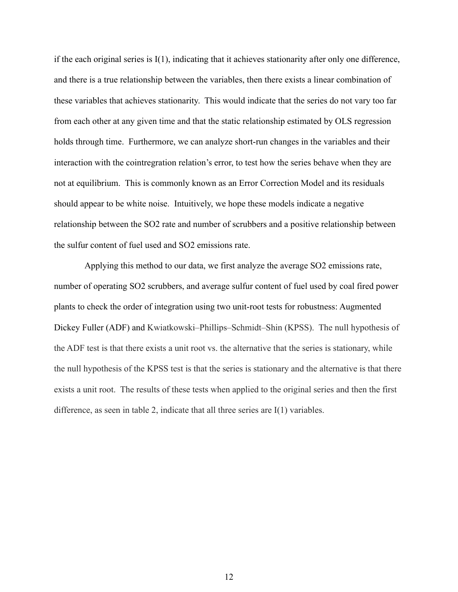if the each original series is I(1), indicating that it achieves stationarity after only one difference, and there is a true relationship between the variables, then there exists a linear combination of these variables that achieves stationarity. This would indicate that the series do not vary too far from each other at any given time and that the static relationship estimated by OLS regression holds through time. Furthermore, we can analyze short-run changes in the variables and their interaction with the cointregration relation's error, to test how the series behave when they are not at equilibrium. This is commonly known as an Error Correction Model and its residuals should appear to be white noise. Intuitively, we hope these models indicate a negative relationship between the SO2 rate and number of scrubbers and a positive relationship between the sulfur content of fuel used and SO2 emissions rate.

 Applying this method to our data, we first analyze the average SO2 emissions rate, number of operating SO2 scrubbers, and average sulfur content of fuel used by coal fired power plants to check the order of integration using two unit-root tests for robustness: Augmented Dickey Fuller (ADF) and Kwiatkowski–Phillips–Schmidt–Shin (KPSS). The null hypothesis of the ADF test is that there exists a unit root vs. the alternative that the series is stationary, while the null hypothesis of the KPSS test is that the series is stationary and the alternative is that there exists a unit root. The results of these tests when applied to the original series and then the first difference, as seen in table 2, indicate that all three series are I(1) variables.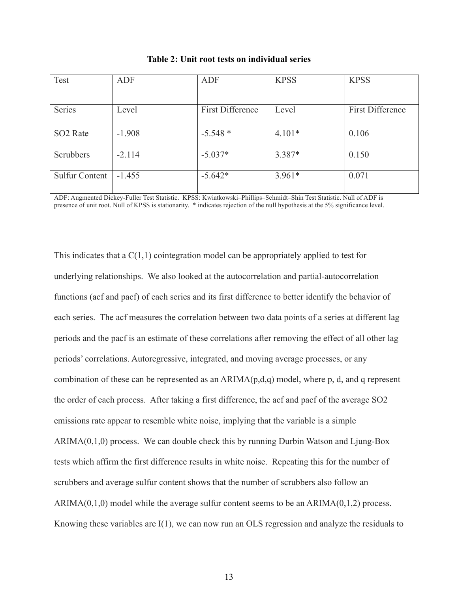| Test                  | <b>ADF</b> | <b>ADF</b>              | <b>KPSS</b> | <b>KPSS</b>             |
|-----------------------|------------|-------------------------|-------------|-------------------------|
|                       |            |                         |             |                         |
| Series                | Level      | <b>First Difference</b> | Level       | <b>First Difference</b> |
|                       |            |                         |             |                         |
| SO <sub>2</sub> Rate  | $-1.908$   | $-5.548*$               | $4.101*$    | 0.106                   |
| Scrubbers             | $-2.114$   | $-5.037*$               | 3.387*      | 0.150                   |
| <b>Sulfur Content</b> | $-1.455$   | $-5.642*$               | $3.961*$    | 0.071                   |

**Table 2: Unit root tests on individual series**

ADF: Augmented Dickey-Fuller Test Statistic. KPSS: Kwiatkowski–Phillips–Schmidt–Shin Test Statistic. Null of ADF is presence of unit root. Null of KPSS is stationarity. \* indicates rejection of the null hypothesis at the 5% significance level.

This indicates that a  $C(1,1)$  cointegration model can be appropriately applied to test for underlying relationships. We also looked at the autocorrelation and partial-autocorrelation functions (acf and pacf) of each series and its first difference to better identify the behavior of each series. The acf measures the correlation between two data points of a series at different lag periods and the pacf is an estimate of these correlations after removing the effect of all other lag periods' correlations. Autoregressive, integrated, and moving average processes, or any combination of these can be represented as an ARIMA(p,d,q) model, where p, d, and q represent the order of each process. After taking a first difference, the acf and pacf of the average SO2 emissions rate appear to resemble white noise, implying that the variable is a simple ARIMA(0,1,0) process. We can double check this by running Durbin Watson and Ljung-Box tests which affirm the first difference results in white noise. Repeating this for the number of scrubbers and average sulfur content shows that the number of scrubbers also follow an ARIMA $(0,1,0)$  model while the average sulfur content seems to be an ARIMA $(0,1,2)$  process. Knowing these variables are I(1), we can now run an OLS regression and analyze the residuals to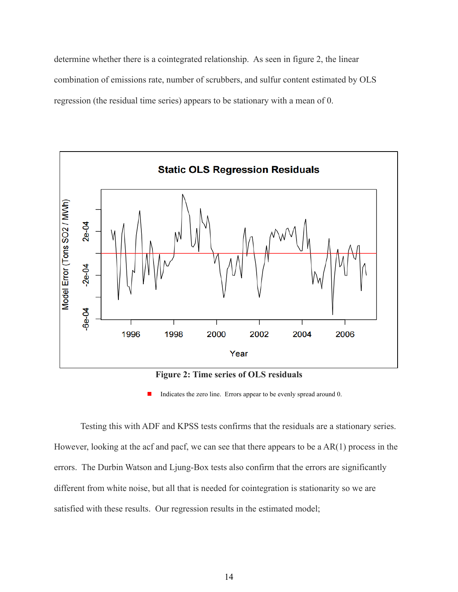determine whether there is a cointegrated relationship. As seen in figure 2, the linear combination of emissions rate, number of scrubbers, and sulfur content estimated by OLS regression (the residual time series) appears to be stationary with a mean of 0.



**Figure 2: Time series of OLS residuals**

Indicates the zero line. Errors appear to be evenly spread around 0.

Testing this with ADF and KPSS tests confirms that the residuals are a stationary series. However, looking at the acf and pacf, we can see that there appears to be a AR(1) process in the errors. The Durbin Watson and Ljung-Box tests also confirm that the errors are significantly different from white noise, but all that is needed for cointegration is stationarity so we are satisfied with these results. Our regression results in the estimated model;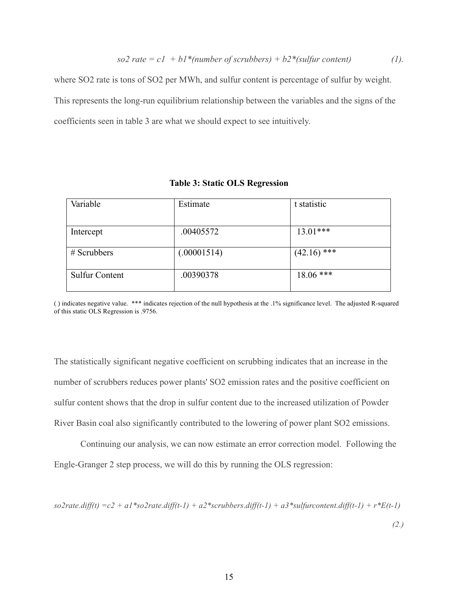where SO2 rate is tons of SO2 per MWh, and sulfur content is percentage of sulfur by weight. This represents the long-run equilibrium relationship between the variables and the signs of the coefficients seen in table 3 are what we should expect to see intuitively.

| Variable              | Estimate    | t statistic   |  |
|-----------------------|-------------|---------------|--|
| Intercept             | .00405572   | $13.01***$    |  |
| $#$ Scrubbers         | (.00001514) | $(42.16)$ *** |  |
| <b>Sulfur Content</b> | .00390378   | $18.06$ ***   |  |

**Table 3: Static OLS Regression** 

( ) indicates negative value. \*\*\* indicates rejection of the null hypothesis at the .1% significance level. The adjusted R-squared of this static OLS Regression is .9756.

The statistically significant negative coefficient on scrubbing indicates that an increase in the number of scrubbers reduces power plants' SO2 emission rates and the positive coefficient on sulfur content shows that the drop in sulfur content due to the increased utilization of Powder River Basin coal also significantly contributed to the lowering of power plant SO2 emissions.

Continuing our analysis, we can now estimate an error correction model. Following the Engle-Granger 2 step process, we will do this by running the OLS regression:

 $s_02$ rate.diff(t) = c2 + a1\*so2rate.diff(t-1) + a2\*scrubbers.diff(t-1) + a3\*sulfurcontent.diff(t-1) + r\*E(t-1)

*(2.)*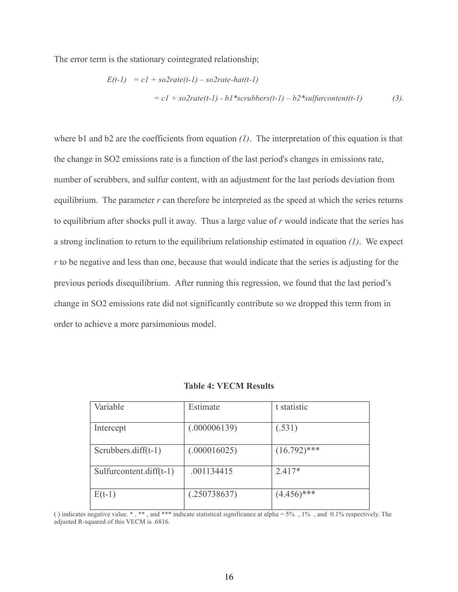The error term is the stationary cointegrated relationship;

$$
E(t-1) = c1 + so2rate(t-1) - so2rate-hat(t-1)
$$
  
= c1 + so2rate(t-1) - b1\*scrubbers(t-1) - b2\*sulfurcontent(t-1) (3).

where b1 and b2 are the coefficients from equation *(1)*. The interpretation of this equation is that the change in SO2 emissions rate is a function of the last period's changes in emissions rate, number of scrubbers, and sulfur content, with an adjustment for the last periods deviation from equilibrium. The parameter *r* can therefore be interpreted as the speed at which the series returns to equilibrium after shocks pull it away. Thus a large value of *r* would indicate that the series has a strong inclination to return to the equilibrium relationship estimated in equation *(1)*. We expect *r* to be negative and less than one, because that would indicate that the series is adjusting for the previous periods disequilibrium. After running this regression, we found that the last period's change in SO2 emissions rate did not significantly contribute so we dropped this term from in order to achieve a more parsimonious model.

| Variable                   | Estimate     | t statistic    |
|----------------------------|--------------|----------------|
| Intercept                  | (.000006139) | (.531)         |
| Scrubbers.diff $(t-1)$     | (.000016025) | $(16.792)$ *** |
| Sulfurcontent.diff $(t-1)$ | .001134415   | $2.417*$       |
| $E(t-1)$                   | (.250738637) | $(4.456)$ ***  |

| <b>Table 4: VECM Results</b> |  |
|------------------------------|--|
|------------------------------|--|

( ) indicates negative value. \* , \*\* , and \*\*\* indicate statistical significance at alpha = 5% , 1% , and 0.1% respectively. The adjusted R-squared of this VECM is .6816.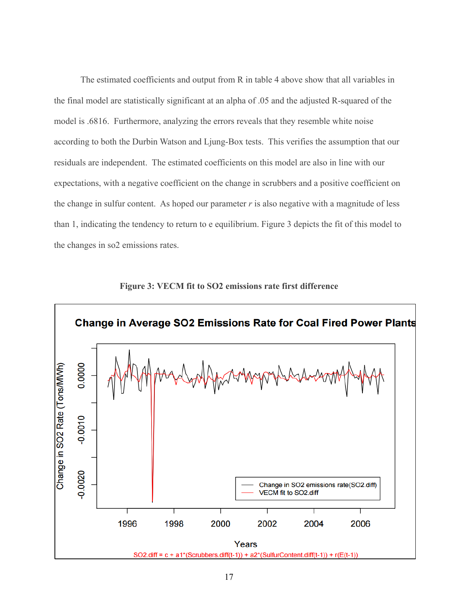The estimated coefficients and output from R in table 4 above show that all variables in the final model are statistically significant at an alpha of .05 and the adjusted R-squared of the model is .6816. Furthermore, analyzing the errors reveals that they resemble white noise according to both the Durbin Watson and Ljung-Box tests. This verifies the assumption that our residuals are independent. The estimated coefficients on this model are also in line with our expectations, with a negative coefficient on the change in scrubbers and a positive coefficient on the change in sulfur content. As hoped our parameter *r* is also negative with a magnitude of less than 1, indicating the tendency to return to e equilibrium. Figure 3 depicts the fit of this model to the changes in so2 emissions rates.



**Figure 3: VECM fit to SO2 emissions rate first difference**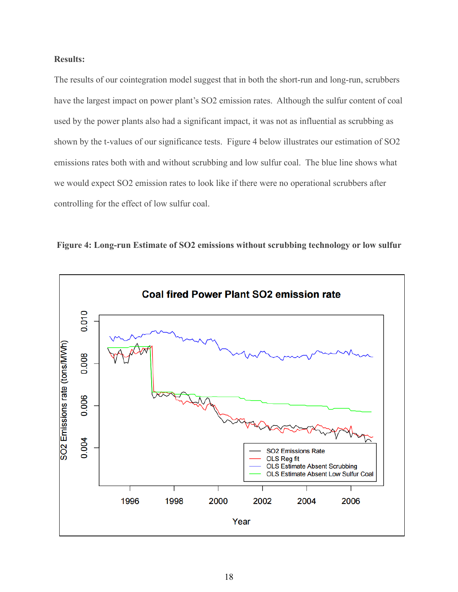# **Results:**

The results of our cointegration model suggest that in both the short-run and long-run, scrubbers have the largest impact on power plant's SO2 emission rates. Although the sulfur content of coal used by the power plants also had a significant impact, it was not as influential as scrubbing as shown by the t-values of our significance tests. Figure 4 below illustrates our estimation of SO2 emissions rates both with and without scrubbing and low sulfur coal. The blue line shows what we would expect SO2 emission rates to look like if there were no operational scrubbers after controlling for the effect of low sulfur coal.



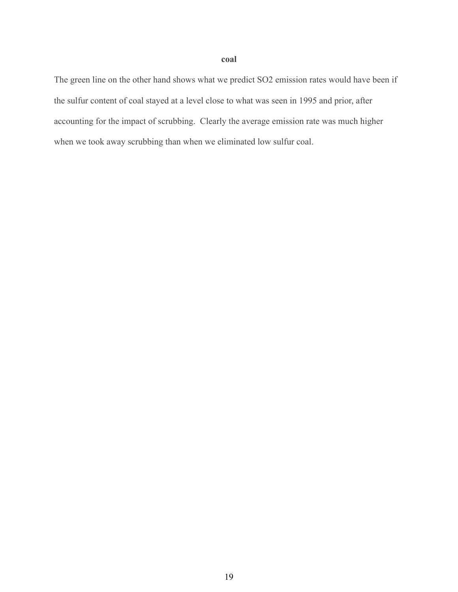## **coal**

The green line on the other hand shows what we predict SO2 emission rates would have been if the sulfur content of coal stayed at a level close to what was seen in 1995 and prior, after accounting for the impact of scrubbing. Clearly the average emission rate was much higher when we took away scrubbing than when we eliminated low sulfur coal.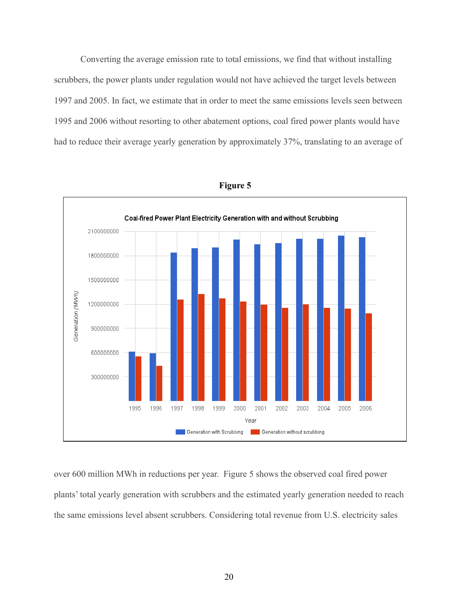Converting the average emission rate to total emissions, we find that without installing scrubbers, the power plants under regulation would not have achieved the target levels between 1997 and 2005. In fact, we estimate that in order to meet the same emissions levels seen between 1995 and 2006 without resorting to other abatement options, coal fired power plants would have had to reduce their average yearly generation by approximately 37%, translating to an average of



**Figure 5**

over 600 million MWh in reductions per year. Figure 5 shows the observed coal fired power plants' total yearly generation with scrubbers and the estimated yearly generation needed to reach the same emissions level absent scrubbers. Considering total revenue from U.S. electricity sales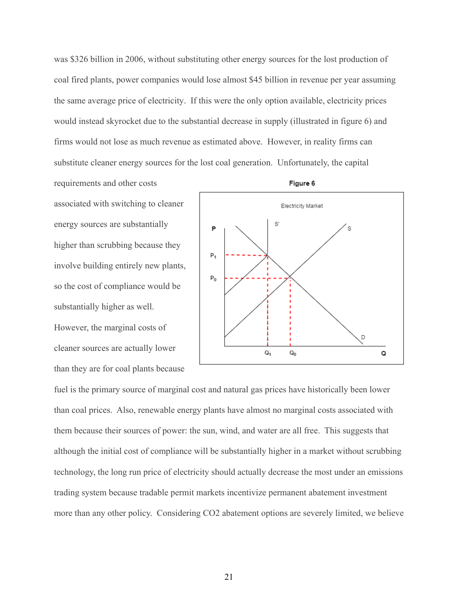was \$326 billion in 2006, without substituting other energy sources for the lost production of coal fired plants, power companies would lose almost \$45 billion in revenue per year assuming the same average price of electricity. If this were the only option available, electricity prices would instead skyrocket due to the substantial decrease in supply (illustrated in figure 6) and firms would not lose as much revenue as estimated above. However, in reality firms can substitute cleaner energy sources for the lost coal generation. Unfortunately, the capital

requirements and other costs associated with switching to cleaner energy sources are substantially higher than scrubbing because they involve building entirely new plants, so the cost of compliance would be substantially higher as well. However, the marginal costs of cleaner sources are actually lower than they are for coal plants because



fuel is the primary source of marginal cost and natural gas prices have historically been lower than coal prices. Also, renewable energy plants have almost no marginal costs associated with them because their sources of power: the sun, wind, and water are all free. This suggests that although the initial cost of compliance will be substantially higher in a market without scrubbing technology, the long run price of electricity should actually decrease the most under an emissions trading system because tradable permit markets incentivize permanent abatement investment more than any other policy. Considering CO2 abatement options are severely limited, we believe

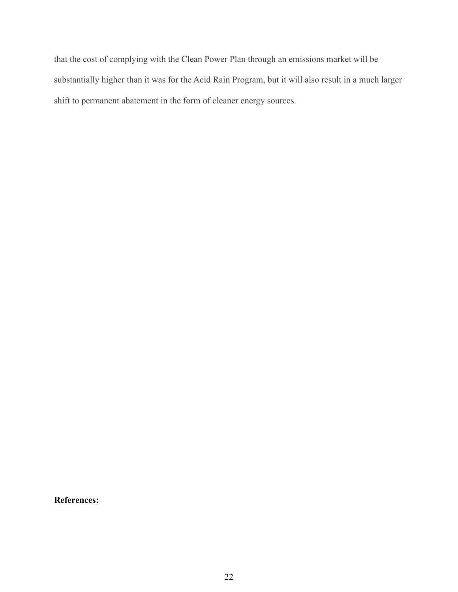that the cost of complying with the Clean Power Plan through an emissions market will be substantially higher than it was for the Acid Rain Program, but it will also result in a much larger shift to permanent abatement in the form of cleaner energy sources.

**References:**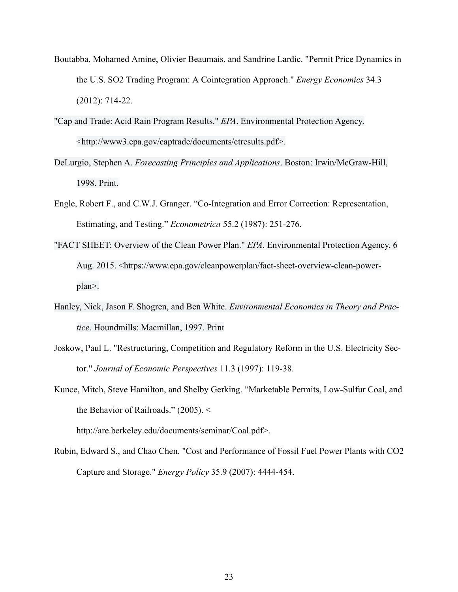- Boutabba, Mohamed Amine, Olivier Beaumais, and Sandrine Lardic. "Permit Price Dynamics in the U.S. SO2 Trading Program: A Cointegration Approach." *Energy Economics* 34.3 (2012): 714-22.
- "Cap and Trade: Acid Rain Program Results." *EPA*. Environmental Protection Agency. <http://www3.epa.gov/captrade/documents/ctresults.pdf>.
- DeLurgio, Stephen A. *Forecasting Principles and Applications*. Boston: Irwin/McGraw-Hill, 1998. Print.
- Engle, Robert F., and C.W.J. Granger. "Co-Integration and Error Correction: Representation, Estimating, and Testing." *Econometrica* 55.2 (1987): 251-276.
- "FACT SHEET: Overview of the Clean Power Plan." *EPA*. Environmental Protection Agency, 6 Aug. 2015. <https://www.epa.gov/cleanpowerplan/fact-sheet-overview-clean-powerplan>.
- Hanley, Nick, Jason F. Shogren, and Ben White. *Environmental Economics in Theory and Practice*. Houndmills: Macmillan, 1997. Print
- Joskow, Paul L. "Restructuring, Competition and Regulatory Reform in the U.S. Electricity Sector." *Journal of Economic Perspectives* 11.3 (1997): 119-38.
- Kunce, Mitch, Steve Hamilton, and Shelby Gerking. "Marketable Permits, Low-Sulfur Coal, and the Behavior of Railroads." (2005). <

http://are.berkeley.edu/documents/seminar/Coal.pdf>.

Rubin, Edward S., and Chao Chen. "Cost and Performance of Fossil Fuel Power Plants with CO2 Capture and Storage." *Energy Policy* 35.9 (2007): 4444-454.